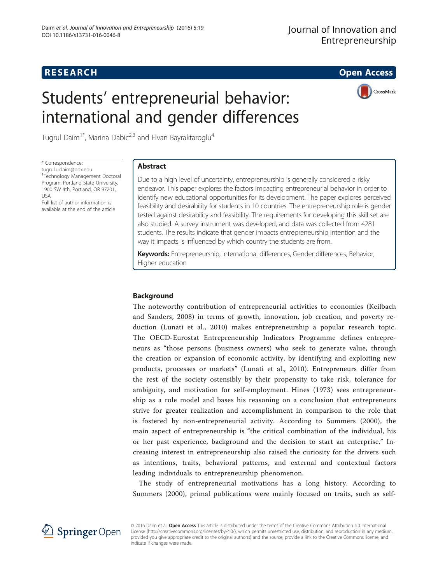# Students' entrepreneurial behavior: international and gender differences



Tugrul Daim<sup>1\*</sup>, Marina Dabic<sup>2,3</sup> and Elvan Bayraktaroglu<sup>4</sup>

\* Correspondence: [tugrul.u.daim@pdx.edu](mailto:tugrul.u.daim@pdx.edu) 1 Technology Management Doctoral Program, Portland State University, 1900 SW 4th, Portland, OR 97201, USA Full list of author information is available at the end of the article

## Abstract

Due to a high level of uncertainty, entrepreneurship is generally considered a risky endeavor. This paper explores the factors impacting entrepreneurial behavior in order to identify new educational opportunities for its development. The paper explores perceived feasibility and desirability for students in 10 countries. The entrepreneurship role is gender tested against desirability and feasibility. The requirements for developing this skill set are also studied. A survey instrument was developed, and data was collected from 4281 students. The results indicate that gender impacts entrepreneurship intention and the way it impacts is influenced by which country the students are from.

Keywords: Entrepreneurship, International differences, Gender differences, Behavior, Higher education

## Background

The noteworthy contribution of entrepreneurial activities to economies (Keilbach and Sanders, [2008](#page-20-0)) in terms of growth, innovation, job creation, and poverty reduction (Lunati et al., [2010](#page-21-0)) makes entrepreneurship a popular research topic. The OECD-Eurostat Entrepreneurship Indicators Programme defines entrepreneurs as "those persons (business owners) who seek to generate value, through the creation or expansion of economic activity, by identifying and exploiting new products, processes or markets" (Lunati et al., [2010](#page-21-0)). Entrepreneurs differ from the rest of the society ostensibly by their propensity to take risk, tolerance for ambiguity, and motivation for self-employment. Hines [\(1973\)](#page-20-0) sees entrepreneurship as a role model and bases his reasoning on a conclusion that entrepreneurs strive for greater realization and accomplishment in comparison to the role that is fostered by non-entrepreneurial activity. According to Summers [\(2000\)](#page-21-0), the main aspect of entrepreneurship is "the critical combination of the individual, his or her past experience, background and the decision to start an enterprise." Increasing interest in entrepreneurship also raised the curiosity for the drivers such as intentions, traits, behavioral patterns, and external and contextual factors leading individuals to entrepreneurship phenomenon.

The study of entrepreneurial motivations has a long history. According to Summers ([2000\)](#page-21-0), primal publications were mainly focused on traits, such as self-



© 2016 Daim et al. Open Access This article is distributed under the terms of the Creative Commons Attribution 4.0 International License [\(http://creativecommons.org/licenses/by/4.0/](http://creativecommons.org/licenses/by/4.0/)), which permits unrestricted use, distribution, and reproduction in any medium, provided you give appropriate credit to the original author(s) and the source, provide a link to the Creative Commons license, and indicate if changes were made.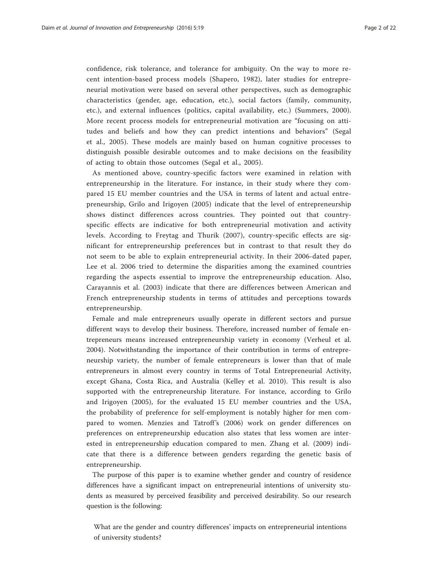confidence, risk tolerance, and tolerance for ambiguity. On the way to more recent intention-based process models (Shapero, [1982\)](#page-21-0), later studies for entrepreneurial motivation were based on several other perspectives, such as demographic characteristics (gender, age, education, etc.), social factors (family, community, etc.), and external influences (politics, capital availability, etc.) (Summers, [2000](#page-21-0)). More recent process models for entrepreneurial motivation are "focusing on attitudes and beliefs and how they can predict intentions and behaviors" (Segal et al., [2005\)](#page-21-0). These models are mainly based on human cognitive processes to distinguish possible desirable outcomes and to make decisions on the feasibility of acting to obtain those outcomes (Segal et al., [2005](#page-21-0)).

As mentioned above, country-specific factors were examined in relation with entrepreneurship in the literature. For instance, in their study where they compared 15 EU member countries and the USA in terms of latent and actual entrepreneurship, Grilo and Irigoyen ([2005](#page-20-0)) indicate that the level of entrepreneurship shows distinct differences across countries. They pointed out that countryspecific effects are indicative for both entrepreneurial motivation and activity levels. According to Freytag and Thurik ([2007](#page-20-0)), country-specific effects are significant for entrepreneurship preferences but in contrast to that result they do not seem to be able to explain entrepreneurial activity. In their 2006-dated paper, Lee et al. [2006](#page-21-0) tried to determine the disparities among the examined countries regarding the aspects essential to improve the entrepreneurship education. Also, Carayannis et al. ([2003](#page-20-0)) indicate that there are differences between American and French entrepreneurship students in terms of attitudes and perceptions towards entrepreneurship.

Female and male entrepreneurs usually operate in different sectors and pursue different ways to develop their business. Therefore, increased number of female entrepreneurs means increased entrepreneurship variety in economy (Verheul et al. [2004\)](#page-21-0). Notwithstanding the importance of their contribution in terms of entrepreneurship variety, the number of female entrepreneurs is lower than that of male entrepreneurs in almost every country in terms of Total Entrepreneurial Activity, except Ghana, Costa Rica, and Australia (Kelley et al. [2010\)](#page-20-0). This result is also supported with the entrepreneurship literature. For instance, according to Grilo and Irigoyen [\(2005\)](#page-20-0), for the evaluated 15 EU member countries and the USA, the probability of preference for self-employment is notably higher for men compared to women. Menzies and Tatroff's [\(2006\)](#page-21-0) work on gender differences on preferences on entrepreneurship education also states that less women are interested in entrepreneurship education compared to men. Zhang et al. [\(2009](#page-21-0)) indicate that there is a difference between genders regarding the genetic basis of entrepreneurship.

The purpose of this paper is to examine whether gender and country of residence differences have a significant impact on entrepreneurial intentions of university students as measured by perceived feasibility and perceived desirability. So our research question is the following:

What are the gender and country differences' impacts on entrepreneurial intentions of university students?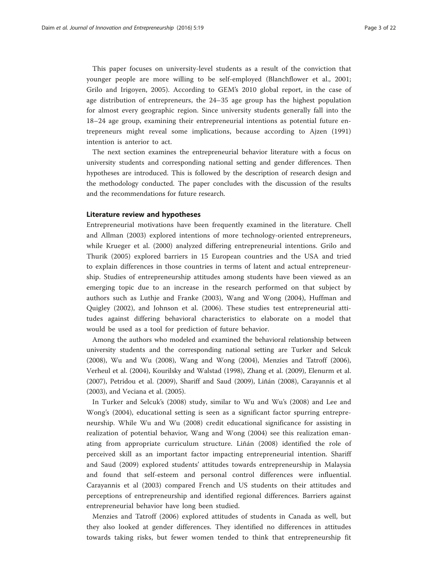This paper focuses on university-level students as a result of the conviction that younger people are more willing to be self-employed (Blanchflower et al., [2001](#page-20-0); Grilo and Irigoyen, [2005](#page-20-0)). According to GEM's 2010 global report, in the case of age distribution of entrepreneurs, the 24–35 age group has the highest population for almost every geographic region. Since university students generally fall into the 18–24 age group, examining their entrepreneurial intentions as potential future entrepreneurs might reveal some implications, because according to Ajzen [\(1991](#page-20-0)) intention is anterior to act.

The next section examines the entrepreneurial behavior literature with a focus on university students and corresponding national setting and gender differences. Then hypotheses are introduced. This is followed by the description of research design and the methodology conducted. The paper concludes with the discussion of the results and the recommendations for future research.

## Literature review and hypotheses

Entrepreneurial motivations have been frequently examined in the literature. Chell and Allman ([2003\)](#page-20-0) explored intentions of more technology-oriented entrepreneurs, while Krueger et al. ([2000](#page-21-0)) analyzed differing entrepreneurial intentions. Grilo and Thurik [\(2005](#page-20-0)) explored barriers in 15 European countries and the USA and tried to explain differences in those countries in terms of latent and actual entrepreneurship. Studies of entrepreneurship attitudes among students have been viewed as an emerging topic due to an increase in the research performed on that subject by authors such as Luthje and Franke ([2003\)](#page-21-0), Wang and Wong ([2004\)](#page-21-0), Huffman and Quigley ([2002](#page-20-0)), and Johnson et al. ([2006\)](#page-20-0). These studies test entrepreneurial attitudes against differing behavioral characteristics to elaborate on a model that would be used as a tool for prediction of future behavior.

Among the authors who modeled and examined the behavioral relationship between university students and the corresponding national setting are Turker and Selcuk ([2008](#page-21-0)), Wu and Wu ([2008](#page-21-0)), Wang and Wong ([2004](#page-21-0)), Menzies and Tatroff ([2006](#page-21-0)), Verheul et al. [\(2004](#page-21-0)), Kourilsky and Walstad ([1998](#page-20-0)), Zhang et al. [\(2009\)](#page-21-0), Elenurm et al. ([2007](#page-20-0)), Petridou et al. [\(2009\)](#page-21-0), Shariff and Saud ([2009\)](#page-21-0), Liñán [\(2008\)](#page-21-0), Carayannis et al ([2003](#page-20-0)), and Veciana et al. ([2005](#page-21-0)).

In Turker and Selcuk's [\(2008](#page-21-0)) study, similar to Wu and Wu's [\(2008](#page-21-0)) and Lee and Wong's ([2004](#page-21-0)), educational setting is seen as a significant factor spurring entrepreneurship. While Wu and Wu ([2008\)](#page-21-0) credit educational significance for assisting in realization of potential behavior, Wang and Wong [\(2004](#page-21-0)) see this realization emanating from appropriate curriculum structure. Liñán ([2008\)](#page-21-0) identified the role of perceived skill as an important factor impacting entrepreneurial intention. Shariff and Saud [\(2009](#page-21-0)) explored students' attitudes towards entrepreneurship in Malaysia and found that self-esteem and personal control differences were influential. Carayannis et al [\(2003](#page-20-0)) compared French and US students on their attitudes and perceptions of entrepreneurship and identified regional differences. Barriers against entrepreneurial behavior have long been studied.

Menzies and Tatroff ([2006\)](#page-21-0) explored attitudes of students in Canada as well, but they also looked at gender differences. They identified no differences in attitudes towards taking risks, but fewer women tended to think that entrepreneurship fit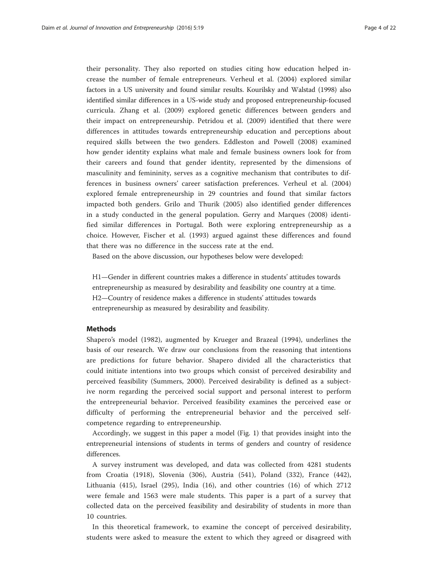their personality. They also reported on studies citing how education helped increase the number of female entrepreneurs. Verheul et al. ([2004\)](#page-21-0) explored similar factors in a US university and found similar results. Kourilsky and Walstad ([1998](#page-20-0)) also identified similar differences in a US-wide study and proposed entrepreneurship-focused curricula. Zhang et al. ([2009](#page-21-0)) explored genetic differences between genders and their impact on entrepreneurship. Petridou et al. ([2009\)](#page-21-0) identified that there were differences in attitudes towards entrepreneurship education and perceptions about required skills between the two genders. Eddleston and Powell ([2008\)](#page-20-0) examined how gender identity explains what male and female business owners look for from their careers and found that gender identity, represented by the dimensions of masculinity and femininity, serves as a cognitive mechanism that contributes to differences in business owners' career satisfaction preferences. Verheul et al. [\(2004](#page-21-0)) explored female entrepreneurship in 29 countries and found that similar factors impacted both genders. Grilo and Thurik ([2005\)](#page-20-0) also identified gender differences in a study conducted in the general population. Gerry and Marques ([2008](#page-20-0)) identified similar differences in Portugal. Both were exploring entrepreneurship as a choice. However, Fischer et al. ([1993\)](#page-20-0) argued against these differences and found that there was no difference in the success rate at the end.

Based on the above discussion, our hypotheses below were developed:

H1—Gender in different countries makes a difference in students' attitudes towards entrepreneurship as measured by desirability and feasibility one country at a time. H2—Country of residence makes a difference in students' attitudes towards entrepreneurship as measured by desirability and feasibility.

## **Methods**

Shapero's model (1982), augmented by Krueger and Brazeal [\(1994](#page-21-0)), underlines the basis of our research. We draw our conclusions from the reasoning that intentions are predictions for future behavior. Shapero divided all the characteristics that could initiate intentions into two groups which consist of perceived desirability and perceived feasibility (Summers, [2000](#page-21-0)). Perceived desirability is defined as a subjective norm regarding the perceived social support and personal interest to perform the entrepreneurial behavior. Perceived feasibility examines the perceived ease or difficulty of performing the entrepreneurial behavior and the perceived selfcompetence regarding to entrepreneurship.

Accordingly, we suggest in this paper a model (Fig. [1](#page-4-0)) that provides insight into the entrepreneurial intensions of students in terms of genders and country of residence differences.

A survey instrument was developed, and data was collected from 4281 students from Croatia (1918), Slovenia (306), Austria (541), Poland (332), France (442), Lithuania (415), Israel (295), India (16), and other countries (16) of which 2712 were female and 1563 were male students. This paper is a part of a survey that collected data on the perceived feasibility and desirability of students in more than 10 countries.

In this theoretical framework, to examine the concept of perceived desirability, students were asked to measure the extent to which they agreed or disagreed with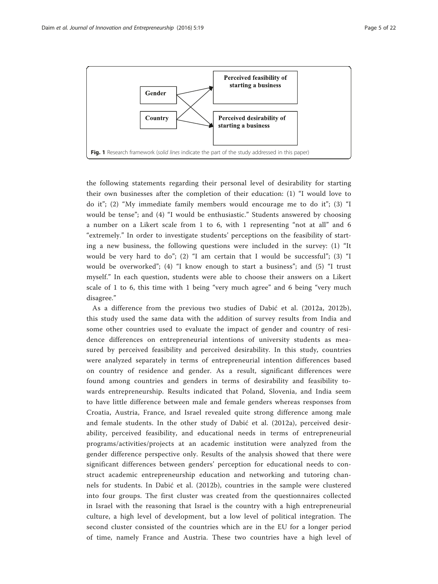<span id="page-4-0"></span>

the following statements regarding their personal level of desirability for starting their own businesses after the completion of their education: (1) "I would love to do it"; (2) "My immediate family members would encourage me to do it"; (3) "I would be tense"; and (4) "I would be enthusiastic." Students answered by choosing a number on a Likert scale from 1 to 6, with 1 representing "not at all" and 6 "extremely." In order to investigate students' perceptions on the feasibility of starting a new business, the following questions were included in the survey: (1) "It would be very hard to do"; (2) "I am certain that I would be successful"; (3) "I would be overworked"; (4) "I know enough to start a business"; and (5) "I trust myself." In each question, students were able to choose their answers on a Likert scale of 1 to 6, this time with 1 being "very much agree" and 6 being "very much disagree."

As a difference from the previous two studies of Dabić et al. ([2012a](#page-20-0), [2012b](#page-20-0)), this study used the same data with the addition of survey results from India and some other countries used to evaluate the impact of gender and country of residence differences on entrepreneurial intentions of university students as measured by perceived feasibility and perceived desirability. In this study, countries were analyzed separately in terms of entrepreneurial intention differences based on country of residence and gender. As a result, significant differences were found among countries and genders in terms of desirability and feasibility towards entrepreneurship. Results indicated that Poland, Slovenia, and India seem to have little difference between male and female genders whereas responses from Croatia, Austria, France, and Israel revealed quite strong difference among male and female students. In the other study of Dabić et al. ([2012a](#page-20-0)), perceived desirability, perceived feasibility, and educational needs in terms of entrepreneurial programs/activities/projects at an academic institution were analyzed from the gender difference perspective only. Results of the analysis showed that there were significant differences between genders' perception for educational needs to construct academic entrepreneurship education and networking and tutoring channels for students. In Dabić et al. [\(2012b\)](#page-20-0), countries in the sample were clustered into four groups. The first cluster was created from the questionnaires collected in Israel with the reasoning that Israel is the country with a high entrepreneurial culture, a high level of development, but a low level of political integration. The second cluster consisted of the countries which are in the EU for a longer period of time, namely France and Austria. These two countries have a high level of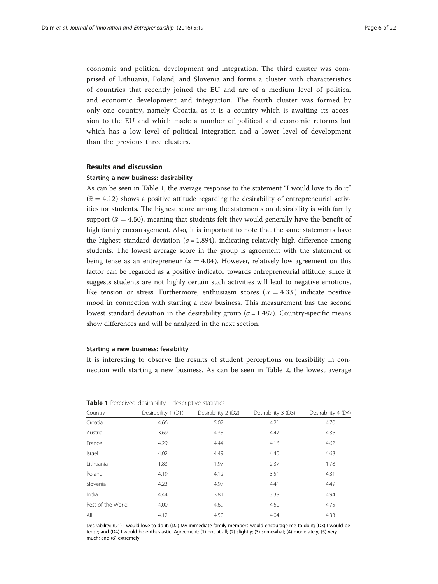economic and political development and integration. The third cluster was comprised of Lithuania, Poland, and Slovenia and forms a cluster with characteristics of countries that recently joined the EU and are of a medium level of political and economic development and integration. The fourth cluster was formed by only one country, namely Croatia, as it is a country which is awaiting its accession to the EU and which made a number of political and economic reforms but which has a low level of political integration and a lower level of development than the previous three clusters.

#### Results and discussion

#### Starting a new business: desirability

As can be seen in Table 1, the average response to the statement "I would love to do it"  $(\bar{x} = 4.12)$  shows a positive attitude regarding the desirability of entrepreneurial activities for students. The highest score among the statements on desirability is with family support ( $\bar{x} = 4.50$ ), meaning that students felt they would generally have the benefit of high family encouragement. Also, it is important to note that the same statements have the highest standard deviation ( $\sigma$  = 1.894), indicating relatively high difference among students. The lowest average score in the group is agreement with the statement of being tense as an entrepreneur ( $\bar{x} = 4.04$ ). However, relatively low agreement on this factor can be regarded as a positive indicator towards entrepreneurial attitude, since it suggests students are not highly certain such activities will lead to negative emotions, like tension or stress. Furthermore, enthusiasm scores ( $\bar{x} = 4.33$ ) indicate positive mood in connection with starting a new business. This measurement has the second lowest standard deviation in the desirability group ( $\sigma$  = 1.487). Country-specific means show differences and will be analyzed in the next section.

#### Starting a new business: feasibility

It is interesting to observe the results of student perceptions on feasibility in connection with starting a new business. As can be seen in Table [2](#page-6-0), the lowest average

| Country           | Desirability 1 (D1) | Desirability 2 (D2) | Desirability 3 (D3) | Desirability 4 (D4) |
|-------------------|---------------------|---------------------|---------------------|---------------------|
| Croatia           | 4.66                | 5.07                | 4.21                | 4.70                |
| Austria           | 3.69                | 4.33                | 4.47                | 4.36                |
| France            | 4.29                | 4.44                | 4.16                | 4.62                |
| <b>Israel</b>     | 4.02                | 4.49                | 4.40                | 4.68                |
| Lithuania         | 1.83                | 1.97                | 2.37                | 1.78                |
| Poland            | 4.19                | 4.12                | 3.51                | 4.31                |
| Slovenia          | 4.23                | 4.97                | 4.41                | 4.49                |
| India             | 4.44                | 3.81                | 3.38                | 4.94                |
| Rest of the World | 4.00                | 4.69                | 4.50                | 4.75                |
| All               | 4.12                | 4.50                | 4.04                | 4.33                |

Table 1 Perceived desirability-descriptive statistics

Desirability: (D1) I would love to do it; (D2) My immediate family members would encourage me to do it; (D3) I would be tense; and (D4) I would be enthusiastic. Agreement: (1) not at all; (2) slightly; (3) somewhat; (4) moderately; (5) very much; and (6) extremely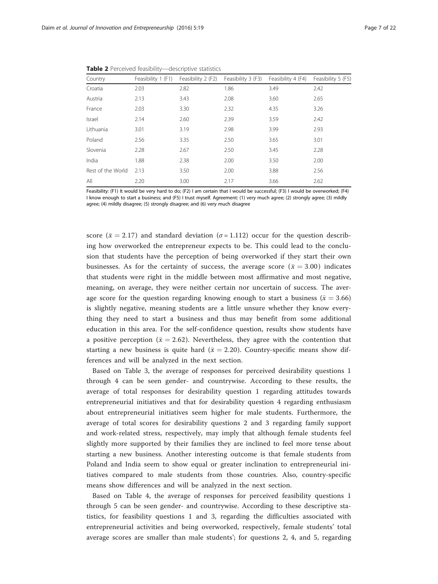| Country           | Feasibility 1 (F1) |      | Feasibility 2 (F2) Feasibility 3 (F3) | Feasibility 4 (F4) | Feasibility 5 (F5) |
|-------------------|--------------------|------|---------------------------------------|--------------------|--------------------|
| Croatia           | 2.03               | 2.82 | 1.86                                  | 3.49               | 2.42               |
| Austria           | 2.13               | 3.43 | 2.08                                  | 3.60               | 2.65               |
| France            | 2.03               | 3.30 | 2.32                                  | 4.35               | 3.26               |
| Israel            | 2.14               | 2.60 | 2.39                                  | 3.59               | 2.42               |
| Lithuania         | 3.01               | 3.19 | 2.98                                  | 3.99               | 2.93               |
| Poland            | 2.56               | 3.35 | 2.50                                  | 3.65               | 3.01               |
| Slovenia          | 2.28               | 2.67 | 2.50                                  | 3.45               | 2.28               |
| India             | 1.88               | 2.38 | 2.00                                  | 3.50               | 2.00               |
| Rest of the World | 2.13               | 3.50 | 2.00                                  | 3.88               | 2.56               |
| All               | 2.20               | 3.00 | 2.17                                  | 3.66               | 2.62               |

<span id="page-6-0"></span>Table 2 Perceived feasibility-descriptive statistics

Feasibility: (F1) It would be very hard to do; (F2) I am certain that I would be successful; (F3) I would be overworked; (F4) I know enough to start a business; and (F5) I trust myself. Agreement: (1) very much agree; (2) strongly agree; (3) mildly agree; (4) mildly disagree; (5) strongly disagree; and (6) very much disagree

score ( $\bar{x} = 2.17$ ) and standard deviation ( $\sigma = 1.112$ ) occur for the question describing how overworked the entrepreneur expects to be. This could lead to the conclusion that students have the perception of being overworked if they start their own businesses. As for the certainty of success, the average score ( $\bar{x} = 3.00$ ) indicates that students were right in the middle between most affirmative and most negative, meaning, on average, they were neither certain nor uncertain of success. The average score for the question regarding knowing enough to start a business ( $\bar{x} = 3.66$ ) is slightly negative, meaning students are a little unsure whether they know everything they need to start a business and thus may benefit from some additional education in this area. For the self-confidence question, results show students have a positive perception ( $\bar{x} = 2.62$ ). Nevertheless, they agree with the contention that starting a new business is quite hard ( $\bar{x} = 2.20$ ). Country-specific means show differences and will be analyzed in the next section.

Based on Table [3](#page-7-0), the average of responses for perceived desirability questions 1 through 4 can be seen gender- and countrywise. According to these results, the average of total responses for desirability question 1 regarding attitudes towards entrepreneurial initiatives and that for desirability question 4 regarding enthusiasm about entrepreneurial initiatives seem higher for male students. Furthermore, the average of total scores for desirability questions 2 and 3 regarding family support and work-related stress, respectively, may imply that although female students feel slightly more supported by their families they are inclined to feel more tense about starting a new business. Another interesting outcome is that female students from Poland and India seem to show equal or greater inclination to entrepreneurial initiatives compared to male students from those countries. Also, country-specific means show differences and will be analyzed in the next section.

Based on Table [4,](#page-8-0) the average of responses for perceived feasibility questions 1 through 5 can be seen gender- and countrywise. According to these descriptive statistics, for feasibility questions 1 and 3, regarding the difficulties associated with entrepreneurial activities and being overworked, respectively, female students' total average scores are smaller than male students'; for questions 2, 4, and 5, regarding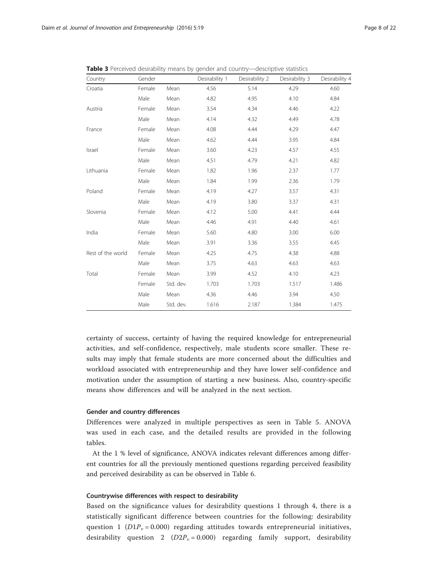| Country           | Gender |           | Desirability 1 | Desirability 2 | Desirability 3 | Desirability 4 |
|-------------------|--------|-----------|----------------|----------------|----------------|----------------|
| Croatia           | Female | Mean      | 4.56           | 5.14           | 4.29           | 4.60           |
|                   | Male   | Mean      | 4.82           | 4.95           | 4.10           | 4.84           |
| Austria           | Female | Mean      | 3.54           | 4.34           | 4.46           | 4.22           |
|                   | Male   | Mean      | 4.14           | 4.32           | 4.49           | 4.78           |
| France            | Female | Mean      | 4.08           | 4.44           | 4.29           | 4.47           |
|                   | Male   | Mean      | 4.62           | 4.44           | 3.95           | 4.84           |
| Israel            | Female | Mean      | 3.60           | 4.23           | 4.57           | 4.55           |
|                   | Male   | Mean      | 4.51           | 4.79           | 4.21           | 4.82           |
| Lithuania         | Female | Mean      | 1.82           | 1.96           | 2.37           | 1.77           |
|                   | Male   | Mean      | 1.84           | 1.99           | 2.36           | 1.79           |
| Poland            | Female | Mean      | 4.19           | 4.27           | 3.57           | 4.31           |
|                   | Male   | Mean      | 4.19           | 3.80           | 3.37           | 4.31           |
| Slovenia          | Female | Mean      | 4.12           | 5.00           | 4.41           | 4.44           |
|                   | Male   | Mean      | 4.46           | 4.91           | 4.40           | 4.61           |
| India             | Female | Mean      | 5.60           | 4.80           | 3.00           | 6.00           |
|                   | Male   | Mean      | 3.91           | 3.36           | 3.55           | 4.45           |
| Rest of the world | Female | Mean      | 4.25           | 4.75           | 4.38           | 4.88           |
|                   | Male   | Mean      | 3.75           | 4.63           | 4.63           | 4.63           |
| Total             | Female | Mean      | 3.99           | 4.52           | 4.10           | 4.23           |
|                   | Female | Std. dev. | 1.703          | 1.703          | 1.517          | 1.486          |
|                   | Male   | Mean      | 4.36           | 4.46           | 3.94           | 4.50           |
|                   | Male   | Std. dev. | 1.616          | 2.187          | 1.384          | 1.475          |

<span id="page-7-0"></span>Table 3 Perceived desirability means by gender and country—descriptive statistics

certainty of success, certainty of having the required knowledge for entrepreneurial activities, and self-confidence, respectively, male students score smaller. These results may imply that female students are more concerned about the difficulties and workload associated with entrepreneurship and they have lower self-confidence and motivation under the assumption of starting a new business. Also, country-specific means show differences and will be analyzed in the next section.

#### Gender and country differences

Differences were analyzed in multiple perspectives as seen in Table [5](#page-8-0). ANOVA was used in each case, and the detailed results are provided in the following tables.

At the 1 % level of significance, ANOVA indicates relevant differences among different countries for all the previously mentioned questions regarding perceived feasibility and perceived desirability as can be observed in Table [6.](#page-9-0)

## Countrywise differences with respect to desirability

Based on the significance values for desirability questions 1 through 4, there is a statistically significant difference between countries for the following: desirability question 1 ( $D1P_v = 0.000$ ) regarding attitudes towards entrepreneurial initiatives, desirability question 2  $(D2P_v = 0.000)$  regarding family support, desirability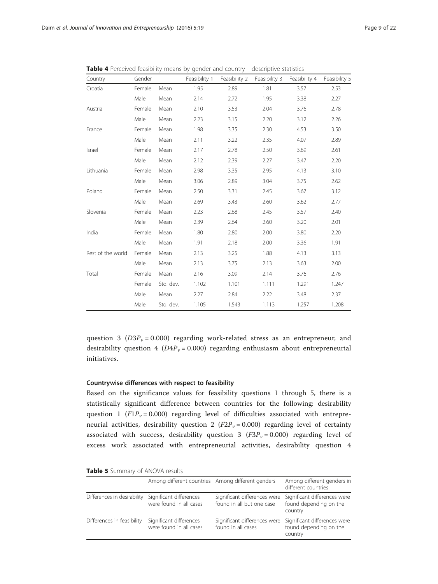| Country           | Gender |           | Feasibility 1 | Feasibility 2 | Feasibility 3 | Feasibility 4 | Feasibility 5 |
|-------------------|--------|-----------|---------------|---------------|---------------|---------------|---------------|
| Croatia           | Female | Mean      | 1.95          | 2.89          | 1.81          | 3.57          | 2.53          |
|                   | Male   | Mean      | 2.14          | 2.72          | 1.95          | 3.38          | 2.27          |
| Austria           | Female | Mean      | 2.10          | 3.53          | 2.04          | 3.76          | 2.78          |
|                   | Male   | Mean      | 2.23          | 3.15          | 2.20          | 3.12          | 2.26          |
| France            | Female | Mean      | 1.98          | 3.35          | 2.30          | 4.53          | 3.50          |
|                   | Male   | Mean      | 2.11          | 3.22          | 2.35          | 4.07          | 2.89          |
| Israel            | Female | Mean      | 2.17          | 2.78          | 2.50          | 3.69          | 2.61          |
|                   | Male   | Mean      | 2.12          | 2.39          | 2.27          | 3.47          | 2.20          |
| Lithuania         | Female | Mean      | 2.98          | 3.35          | 2.95          | 4.13          | 3.10          |
|                   | Male   | Mean      | 3.06          | 2.89          | 3.04          | 3.75          | 2.62          |
| Poland            | Female | Mean      | 2.50          | 3.31          | 2.45          | 3.67          | 3.12          |
|                   | Male   | Mean      | 2.69          | 3.43          | 2.60          | 3.62          | 2.77          |
| Slovenia          | Female | Mean      | 2.23          | 2.68          | 2.45          | 3.57          | 2.40          |
|                   | Male   | Mean      | 2.39          | 2.64          | 2.60          | 3.20          | 2.01          |
| India             | Female | Mean      | 1.80          | 2.80          | 2.00          | 3.80          | 2.20          |
|                   | Male   | Mean      | 1.91          | 2.18          | 2.00          | 3.36          | 1.91          |
| Rest of the world | Female | Mean      | 2.13          | 3.25          | 1.88          | 4.13          | 3.13          |
|                   | Male   | Mean      | 2.13          | 3.75          | 2.13          | 3.63          | 2.00          |
| Total             | Female | Mean      | 2.16          | 3.09          | 2.14          | 3.76          | 2.76          |
|                   | Female | Std. dev. | 1.102         | 1.101         | 1.111         | 1.291         | 1.247         |
|                   | Male   | Mean      | 2.27          | 2.84          | 2.22          | 3.48          | 2.37          |
|                   | Male   | Std. dev. | 1.105         | 1.543         | 1.113         | 1.257         | 1.208         |

<span id="page-8-0"></span>Table 4 Perceived feasibility means by gender and country—descriptive statistics

question 3 ( $D3P_v = 0.000$ ) regarding work-related stress as an entrepreneur, and desirability question 4 ( $D4P_v = 0.000$ ) regarding enthusiasm about entrepreneurial initiatives.

## Countrywise differences with respect to feasibility

Based on the significance values for feasibility questions 1 through 5, there is a statistically significant difference between countries for the following: desirability question 1 ( $F1P_v = 0.000$ ) regarding level of difficulties associated with entrepreneurial activities, desirability question 2 ( $F2P_v = 0.000$ ) regarding level of certainty associated with success, desirability question 3  $(F3P_v = 0.000)$  regarding level of excess work associated with entrepreneurial activities, desirability question 4

| Table 5 Summary of ANOVA results |  |
|----------------------------------|--|
|----------------------------------|--|

|                             | Among different countries Among different genders  |                                                           | Among different genders in<br>different countries                 |
|-----------------------------|----------------------------------------------------|-----------------------------------------------------------|-------------------------------------------------------------------|
| Differences in desirability | Significant differences<br>were found in all cases | Significant differences were<br>found in all but one case | Significant differences were<br>found depending on the<br>country |
| Differences in feasibility  | Significant differences<br>were found in all cases | Significant differences were<br>found in all cases        | Significant differences were<br>found depending on the<br>country |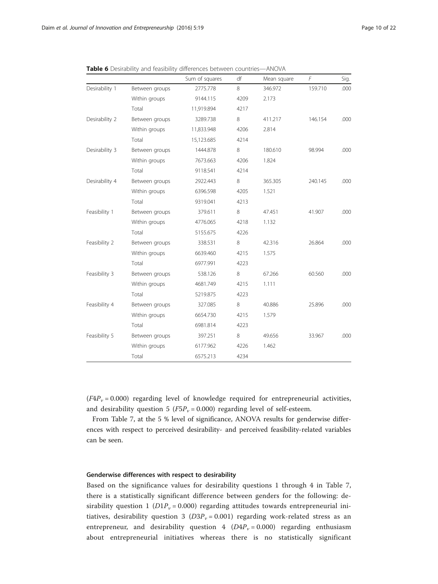|                |                | Sum of squares | df   | Mean square | F       | Sig. |
|----------------|----------------|----------------|------|-------------|---------|------|
| Desirability 1 | Between groups | 2775.778       | 8    | 346.972     | 159.710 | .000 |
|                | Within groups  | 9144.115       | 4209 | 2.173       |         |      |
|                | Total          | 11,919.894     | 4217 |             |         |      |
| Desirability 2 | Between groups | 3289.738       | 8    | 411.217     | 146.154 | .000 |
|                | Within groups  | 11,833.948     | 4206 | 2.814       |         |      |
|                | Total          | 15,123.685     | 4214 |             |         |      |
| Desirability 3 | Between groups | 1444.878       | 8    | 180.610     | 98.994  | .000 |
|                | Within groups  | 7673.663       | 4206 | 1.824       |         |      |
|                | Total          | 9118.541       | 4214 |             |         |      |
| Desirability 4 | Between groups | 2922.443       | 8    | 365.305     | 240.145 | .000 |
|                | Within groups  | 6396.598       | 4205 | 1.521       |         |      |
|                | Total          | 9319.041       | 4213 |             |         |      |
| Feasibility 1  | Between groups | 379.611        | 8    | 47.451      | 41.907  | .000 |
|                | Within groups  | 4776.065       | 4218 | 1.132       |         |      |
|                | Total          | 5155.675       | 4226 |             |         |      |
| Feasibility 2  | Between groups | 338.531        | 8    | 42.316      | 26.864  | .000 |
|                | Within groups  | 6639.460       | 4215 | 1.575       |         |      |
|                | Total          | 6977.991       | 4223 |             |         |      |
| Feasibility 3  | Between groups | 538.126        | 8    | 67.266      | 60.560  | .000 |
|                | Within groups  | 4681.749       | 4215 | 1.111       |         |      |
|                | Total          | 5219.875       | 4223 |             |         |      |
| Feasibility 4  | Between groups | 327.085        | 8    | 40.886      | 25.896  | .000 |
|                | Within groups  | 6654.730       | 4215 | 1.579       |         |      |
|                | Total          | 6981.814       | 4223 |             |         |      |
| Feasibility 5  | Between groups | 397.251        | 8    | 49.656      | 33.967  | .000 |
|                | Within groups  | 6177.962       | 4226 | 1.462       |         |      |
|                | Total          | 6575.213       | 4234 |             |         |      |
|                |                |                |      |             |         |      |

<span id="page-9-0"></span>Table 6 Desirability and feasibility differences between countries-ANOVA

 $(F4P_v = 0.000)$  regarding level of knowledge required for entrepreneurial activities, and desirability question 5 ( $F5P_v = 0.000$ ) regarding level of self-esteem.

From Table [7,](#page-10-0) at the 5 % level of significance, ANOVA results for genderwise differences with respect to perceived desirability- and perceived feasibility-related variables can be seen.

## Genderwise differences with respect to desirability

Based on the significance values for desirability questions 1 through 4 in Table [7](#page-10-0), there is a statistically significant difference between genders for the following: desirability question 1 ( $D1P_v = 0.000$ ) regarding attitudes towards entrepreneurial initiatives, desirability question 3 ( $D3P_v = 0.001$ ) regarding work-related stress as an entrepreneur, and desirability question 4 ( $D4P_v = 0.000$ ) regarding enthusiasm about entrepreneurial initiatives whereas there is no statistically significant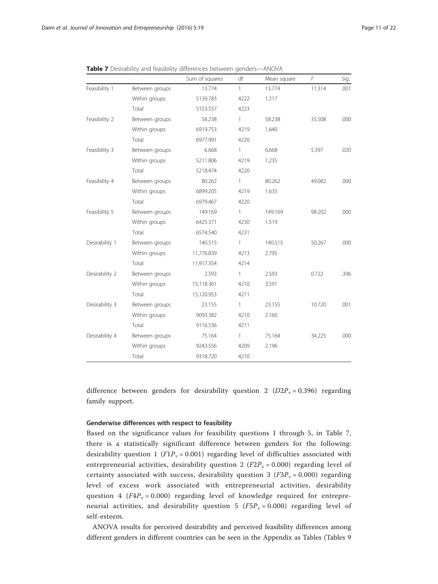|                |                | Sum of squares | df           | Mean square | F      | Sig. |
|----------------|----------------|----------------|--------------|-------------|--------|------|
| Feasibility 1  | Between groups | 13.774         | 1            | 13.774      | 11.314 | .001 |
|                | Within groups  | 5139.783       | 4222         | 1.217       |        |      |
|                | Total          | 5153.557       | 4223         |             |        |      |
| Feasibility 2  | Between groups | 58.238         | $\mathbf{1}$ | 58.238      | 35.508 | .000 |
|                | Within groups  | 6919.753       | 4219         | 1.640       |        |      |
|                | Total          | 6977.991       | 4220         |             |        |      |
| Feasibility 3  | Between groups | 6.668          | $\mathbf{1}$ | 6.668       | 5.397  | .020 |
|                | Within groups  | 5211.806       | 4219         | 1.235       |        |      |
|                | Total          | 5218.474       | 4220         |             |        |      |
| Feasibility 4  | Between groups | 80.262         | $\mathbf{1}$ | 80.262      | 49.082 | .000 |
|                | Within groups  | 6899.205       | 4219         | 1.635       |        |      |
|                | Total          | 6979.467       | 4220         |             |        |      |
| Feasibility 5  | Between groups | 149.169        | $\mathbf{1}$ | 149.169     | 98.202 | .000 |
|                | Within groups  | 6425.371       | 4230         | 1.519       |        |      |
|                | Total          | 6574.540       | 4231         |             |        |      |
| Desirability 1 | Between groups | 140.515        | $\mathbf{1}$ | 140.515     | 50.267 | .000 |
|                | Within groups  | 11,776.839     | 4213         | 2.795       |        |      |
|                | Total          | 11,917.354     | 4214         |             |        |      |
| Desirability 2 | Between groups | 2.593          | $\mathbf{1}$ | 2.593       | 0.722  | .396 |
|                | Within groups  | 15,118.361     | 4210         | 3.591       |        |      |
|                | Total          | 15,120.953     | 4211         |             |        |      |
| Desirability 3 | Between groups | 23.155         | $\mathbf{1}$ | 23.155      | 10.720 | .001 |
|                | Within groups  | 9093.382       | 4210         | 2.160       |        |      |
|                | Total          | 9116.536       | 4211         |             |        |      |
| Desirability 4 | Between groups | 75.164         | $\mathbf{1}$ | 75.164      | 34.225 | .000 |
|                | Within groups  | 9243.556       | 4209         | 2.196       |        |      |
|                | Total          | 9318.720       | 4210         |             |        |      |

<span id="page-10-0"></span>Table 7 Desirability and feasibility differences between genders-ANOVA

difference between genders for desirability question 2  $(D2P_v = 0.396)$  regarding family support.

## Genderwise differences with respect to feasibility

Based on the significance values for feasibility questions 1 through 5, in Table 7, there is a statistically significant difference between genders for the following: desirability question 1 ( $F1P_v = 0.001$ ) regarding level of difficulties associated with entrepreneurial activities, desirability question 2 ( $F2P_v = 0.000$ ) regarding level of certainty associated with success, desirability question 3 ( $F3P_v = 0.000$ ) regarding level of excess work associated with entrepreneurial activities, desirability question 4 ( $F4P_v = 0.000$ ) regarding level of knowledge required for entrepreneurial activities, and desirability question 5 ( $F5P_v = 0.000$ ) regarding level of self-esteem.

ANOVA results for perceived desirability and perceived feasibility differences among different genders in different countries can be seen in the [Appendix](#page-14-0) as Tables (Tables 9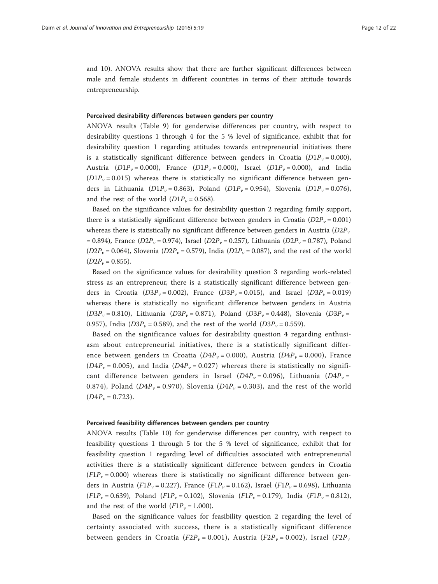and 10). ANOVA results show that there are further significant differences between male and female students in different countries in terms of their attitude towards entrepreneurship.

#### Perceived desirability differences between genders per country

ANOVA results (Table 9) for genderwise differences per country, with respect to desirability questions 1 through 4 for the 5 % level of significance, exhibit that for desirability question 1 regarding attitudes towards entrepreneurial initiatives there is a statistically significant difference between genders in Croatia ( $D1P_v = 0.000$ ), Austria ( $D1P_v = 0.000$ ), France ( $D1P_v = 0.000$ ), Israel ( $D1P_v = 0.000$ ), and India  $(D1P<sub>v</sub> = 0.015)$  whereas there is statistically no significant difference between genders in Lithuania ( $D1P_v = 0.863$ ), Poland ( $D1P_v = 0.954$ ), Slovenia ( $D1P_v = 0.076$ ), and the rest of the world  $(D1P_v = 0.568)$ .

Based on the significance values for desirability question 2 regarding family support, there is a statistically significant difference between genders in Croatia ( $D2P_v = 0.001$ ) whereas there is statistically no significant difference between genders in Austria  $(D2P_v)$ = 0.894), France ( $D2P_v$  = 0.974), Israel ( $D2P_v$  = 0.257), Lithuania ( $D2P_v$  = 0.787), Poland  $(D2P_v = 0.064)$ , Slovenia ( $D2P_v = 0.579$ ), India ( $D2P_v = 0.087$ ), and the rest of the world  $(D2P_v = 0.855)$ .

Based on the significance values for desirability question 3 regarding work-related stress as an entrepreneur, there is a statistically significant difference between genders in Croatia ( $D3P_v = 0.002$ ), France ( $D3P_v = 0.015$ ), and Israel ( $D3P_v = 0.019$ ) whereas there is statistically no significant difference between genders in Austria ( $D3P_v = 0.810$ ), Lithuania ( $D3P_v = 0.871$ ), Poland ( $D3P_v = 0.448$ ), Slovenia ( $D3P_v = 0.810$ ) 0.957), India ( $D3P_v = 0.589$ ), and the rest of the world ( $D3P_v = 0.559$ ).

Based on the significance values for desirability question 4 regarding enthusiasm about entrepreneurial initiatives, there is a statistically significant difference between genders in Croatia ( $D4P_v = 0.000$ ), Austria ( $D4P_v = 0.000$ ), France  $(D4P_v = 0.005)$ , and India  $(D4P_v = 0.027)$  whereas there is statistically no significant difference between genders in Israel ( $D4P_v = 0.096$ ), Lithuania ( $D4P_v =$ 0.874), Poland ( $D4P_v = 0.970$ ), Slovenia ( $D4P_v = 0.303$ ), and the rest of the world  $(D4P_v = 0.723)$ .

#### Perceived feasibility differences between genders per country

ANOVA results (Table 10) for genderwise differences per country, with respect to feasibility questions 1 through 5 for the 5 % level of significance, exhibit that for feasibility question 1 regarding level of difficulties associated with entrepreneurial activities there is a statistically significant difference between genders in Croatia  $(F1P<sub>v</sub> = 0.000)$  whereas there is statistically no significant difference between genders in Austria ( $F1P_v = 0.227$ ), France ( $F1P_v = 0.162$ ), Israel ( $F1P_v = 0.698$ ), Lithuania  $(F1P_v = 0.639)$ , Poland  $(F1P_v = 0.102)$ , Slovenia  $(F1P_v = 0.179)$ , India  $(F1P_v = 0.812)$ , and the rest of the world  $(F1P_v = 1.000)$ .

Based on the significance values for feasibility question 2 regarding the level of certainty associated with success, there is a statistically significant difference between genders in Croatia ( $F2P_v = 0.001$ ), Austria ( $F2P_v = 0.002$ ), Israel ( $F2P_v$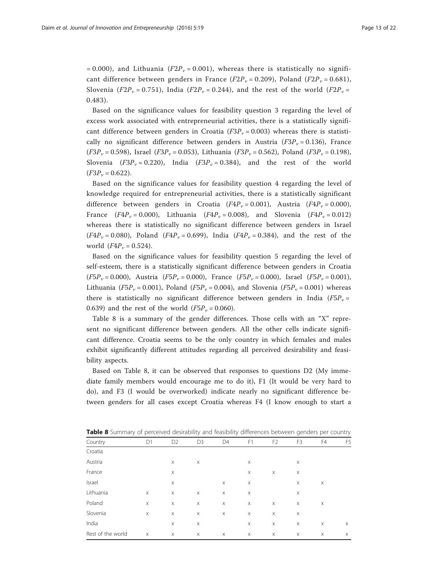<span id="page-12-0"></span>= 0.000), and Lithuania ( $F2P_v$  = 0.001), whereas there is statistically no significant difference between genders in France ( $F2P_v = 0.209$ ), Poland ( $F2P_v = 0.681$ ), Slovenia (F2P<sub>v</sub> = 0.751), India (F2P<sub>v</sub> = 0.244), and the rest of the world (F2P<sub>v</sub> = 0.483).

Based on the significance values for feasibility question 3 regarding the level of excess work associated with entrepreneurial activities, there is a statistically significant difference between genders in Croatia ( $F3P_v = 0.003$ ) whereas there is statistically no significant difference between genders in Austria  $(F3P_y = 0.136)$ , France  $(F3P_v = 0.598)$ , Israel  $(F3P_v = 0.053)$ , Lithuania  $(F3P_v = 0.562)$ , Poland  $(F3P_v = 0.198)$ , Slovenia  $(F3P_v = 0.220)$ , India  $(F3P_v = 0.384)$ , and the rest of the world  $(F3P_v = 0.622)$ .

Based on the significance values for feasibility question 4 regarding the level of knowledge required for entrepreneurial activities, there is a statistically significant difference between genders in Croatia ( $F4P_v = 0.001$ ), Austria ( $F4P_v = 0.000$ ), France  $(F4P_v = 0.000)$ , Lithuania  $(F4P_v = 0.008)$ , and Slovenia  $(F4P_v = 0.012)$ whereas there is statistically no significant difference between genders in Israel  $(F4P_v = 0.080)$ , Poland  $(F4P_v = 0.699)$ , India  $(F4P_v = 0.384)$ , and the rest of the world  $(F4P_v = 0.524)$ .

Based on the significance values for feasibility question 5 regarding the level of self-esteem, there is a statistically significant difference between genders in Croatia  $(F5P_v = 0.000)$ , Austria  $(F5P_v = 0.000)$ , France  $(F5P_v = 0.000)$ , Israel  $(F5P_v = 0.001)$ , Lithuania (F5P<sub>v</sub> = 0.001), Poland (F5P<sub>v</sub> = 0.004), and Slovenia (F5P<sub>v</sub> = 0.001) whereas there is statistically no significant difference between genders in India ( $F5P_v =$ 0.639) and the rest of the world  $(F5P_v = 0.060)$ .

Table 8 is a summary of the gender differences. Those cells with an "X" represent no significant difference between genders. All the other cells indicate significant difference. Croatia seems to be the only country in which females and males exhibit significantly different attitudes regarding all perceived desirability and feasibility aspects.

Based on Table 8, it can be observed that responses to questions D2 (My immediate family members would encourage me to do it), F1 (It would be very hard to do), and F3 (I would be overworked) indicate nearly no significant difference between genders for all cases except Croatia whereas F4 (I know enough to start a

| <b>Table 8</b> Summary of perceived desirability and feasibility differences between genders per country |    |                |                |                |                |                |                |                |                |
|----------------------------------------------------------------------------------------------------------|----|----------------|----------------|----------------|----------------|----------------|----------------|----------------|----------------|
| Country                                                                                                  | D1 | D <sub>2</sub> | D <sub>3</sub> | D <sub>4</sub> | F <sub>1</sub> | F <sub>2</sub> | F <sub>3</sub> | F <sub>4</sub> | F <sub>5</sub> |
| Croatia                                                                                                  |    |                |                |                |                |                |                |                |                |
| Austria                                                                                                  |    | X              | X              |                | X              |                | X              |                |                |
| France                                                                                                   |    | $\times$       |                |                | $\times$       | $\times$       | X              |                |                |
| Israel                                                                                                   |    | X              |                | X              | Χ              |                | X              | X              |                |
| Lithuania                                                                                                | X  | X              | $\times$       | X              | X              |                | X              |                |                |
| Poland                                                                                                   | X  | $\times$       | X              | $\times$       | $\times$       | X              | X              | X              |                |
| Slovenia                                                                                                 | X  | $\times$       | X              | $\times$       | $\times$       | $\times$       | X              |                |                |
| India                                                                                                    |    | X              | X              |                | X              | X              | X              | X              | $\times$       |
| Rest of the world                                                                                        | X  | X              | X              | Χ              | Χ              | X              | X              | X              | $\times$       |

Table 8 Summary of perceived desirability and feasibility differences between genders per country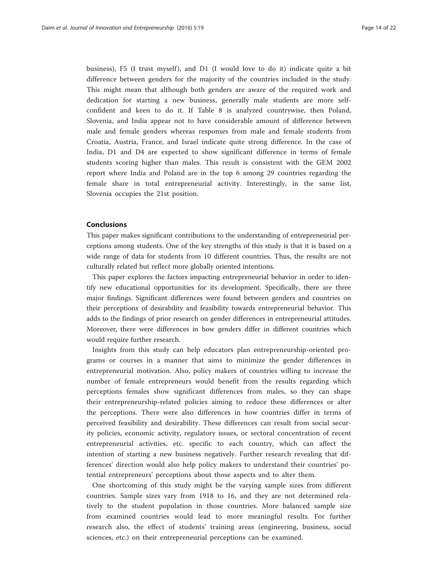business), F5 (I trust myself), and D1 (I would love to do it) indicate quite a bit difference between genders for the majority of the countries included in the study. This might mean that although both genders are aware of the required work and dedication for starting a new business, generally male students are more selfconfident and keen to do it. If Table [8](#page-12-0) is analyzed countrywise, then Poland, Slovenia, and India appear not to have considerable amount of difference between male and female genders whereas responses from male and female students from Croatia, Austria, France, and Israel indicate quite strong difference. In the case of India, D1 and D4 are expected to show significant difference in terms of female students scoring higher than males. This result is consistent with the GEM 2002 report where India and Poland are in the top 6 among 29 countries regarding the female share in total entrepreneurial activity. Interestingly, in the same list, Slovenia occupies the 21st position.

## Conclusions

This paper makes significant contributions to the understanding of entrepreneurial perceptions among students. One of the key strengths of this study is that it is based on a wide range of data for students from 10 different countries. Thus, the results are not culturally related but reflect more globally oriented intentions.

This paper explores the factors impacting entrepreneurial behavior in order to identify new educational opportunities for its development. Specifically, there are three major findings. Significant differences were found between genders and countries on their perceptions of desirability and feasibility towards entrepreneurial behavior. This adds to the findings of prior research on gender differences in entrepreneurial attitudes. Moreover, there were differences in how genders differ in different countries which would require further research.

Insights from this study can help educators plan entrepreneurship-oriented programs or courses in a manner that aims to minimize the gender differences in entrepreneurial motivation. Also, policy makers of countries willing to increase the number of female entrepreneurs would benefit from the results regarding which perceptions females show significant differences from males, so they can shape their entrepreneurship-related policies aiming to reduce these differences or alter the perceptions. There were also differences in how countries differ in terms of perceived feasibility and desirability. These differences can result from social security policies, economic activity, regulatory issues, or sectoral concentration of recent entrepreneurial activities, etc. specific to each country, which can affect the intention of starting a new business negatively. Further research revealing that differences' direction would also help policy makers to understand their countries' potential entrepreneurs' perceptions about those aspects and to alter them.

One shortcoming of this study might be the varying sample sizes from different countries. Sample sizes vary from 1918 to 16, and they are not determined relatively to the student population in those countries. More balanced sample size from examined countries would lead to more meaningful results. For further research also, the effect of students' training areas (engineering, business, social sciences, etc.) on their entrepreneurial perceptions can be examined.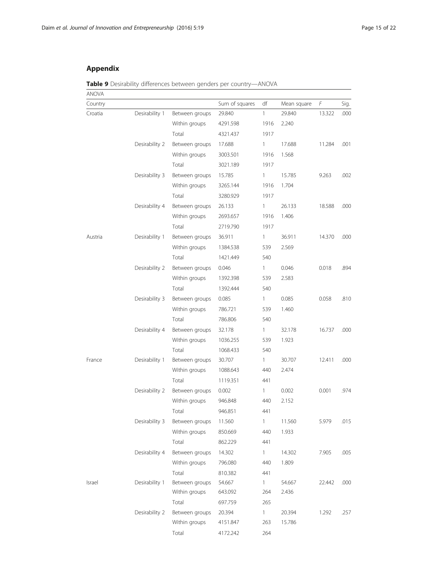## <span id="page-14-0"></span>Appendix

Table 9 Desirability differences between genders per country-ANOVA

| <b>ANOVA</b> |                |                |                |      |             |        |      |
|--------------|----------------|----------------|----------------|------|-------------|--------|------|
| Country      |                |                | Sum of squares | df   | Mean square | F      | Sig. |
| Croatia      | Desirability 1 | Between groups | 29.840         | 1    | 29.840      | 13.322 | .000 |
|              |                | Within groups  | 4291.598       | 1916 | 2.240       |        |      |
|              |                | Total          | 4321.437       | 1917 |             |        |      |
|              | Desirability 2 | Between groups | 17.688         | 1    | 17.688      | 11.284 | .001 |
|              |                | Within groups  | 3003.501       | 1916 | 1.568       |        |      |
|              |                | Total          | 3021.189       | 1917 |             |        |      |
|              | Desirability 3 | Between groups | 15.785         | 1    | 15.785      | 9.263  | .002 |
|              |                | Within groups  | 3265.144       | 1916 | 1.704       |        |      |
|              |                | Total          | 3280.929       | 1917 |             |        |      |
|              | Desirability 4 | Between groups | 26.133         | 1    | 26.133      | 18.588 | .000 |
|              |                | Within groups  | 2693.657       | 1916 | 1.406       |        |      |
|              |                | Total          | 2719.790       | 1917 |             |        |      |
| Austria      | Desirability 1 | Between groups | 36.911         | 1    | 36.911      | 14.370 | .000 |
|              |                | Within groups  | 1384.538       | 539  | 2.569       |        |      |
|              |                | Total          | 1421.449       | 540  |             |        |      |
|              | Desirability 2 | Between groups | 0.046          | 1    | 0.046       | 0.018  | .894 |
|              |                | Within groups  | 1392.398       | 539  | 2.583       |        |      |
|              |                | Total          | 1392.444       | 540  |             |        |      |
|              | Desirability 3 | Between groups | 0.085          | 1    | 0.085       | 0.058  | .810 |
|              |                | Within groups  | 786.721        | 539  | 1.460       |        |      |
|              |                | Total          | 786.806        | 540  |             |        |      |
|              | Desirability 4 | Between groups | 32.178         | 1.   | 32.178      | 16.737 | .000 |
|              |                | Within groups  | 1036.255       | 539  | 1.923       |        |      |
|              |                | Total          | 1068.433       | 540  |             |        |      |
| France       | Desirability 1 | Between groups | 30.707         | 1    | 30.707      | 12.411 | .000 |
|              |                | Within groups  | 1088.643       | 440  | 2.474       |        |      |
|              |                | Total          | 1119.351       | 441  |             |        |      |
|              | Desirability 2 | Between groups | 0.002          | 1    | 0.002       | 0.001  | .974 |
|              |                | Within groups  | 946.848        | 440  | 2.152       |        |      |
|              |                | Total          | 946.851        | 441  |             |        |      |
|              | Desirability 3 | Between groups | 11.560         | 1.   | 11.560      | 5.979  | .015 |
|              |                | Within groups  | 850.669        | 440  | 1.933       |        |      |
|              |                | Total          | 862.229        | 441  |             |        |      |
|              | Desirability 4 | Between groups | 14.302         | 1    | 14.302      | 7.905  | .005 |
|              |                | Within groups  | 796.080        | 440  | 1.809       |        |      |
|              |                | Total          | 810.382        | 441  |             |        |      |
| Israel       | Desirability 1 | Between groups | 54.667         | 1    | 54.667      | 22.442 | .000 |
|              |                | Within groups  | 643.092        | 264  | 2.436       |        |      |
|              |                | Total          | 697.759        | 265  |             |        |      |
|              | Desirability 2 | Between groups | 20.394         | 1    | 20.394      | 1.292  | .257 |
|              |                | Within groups  | 4151.847       | 263  | 15.786      |        |      |
|              |                | Total          | 4172.242       | 264  |             |        |      |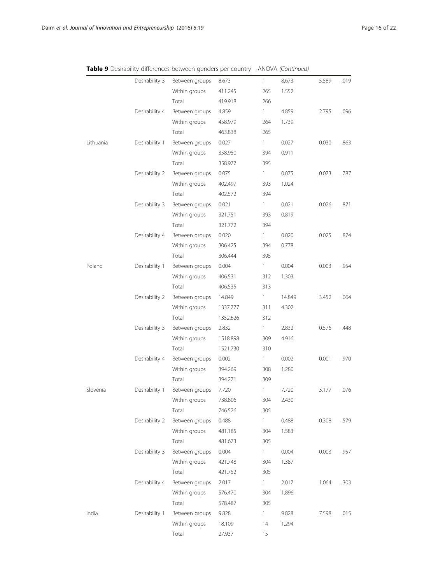|           | Desirability 3 |                                 |          | 1   | 8.673  |       | .019 |
|-----------|----------------|---------------------------------|----------|-----|--------|-------|------|
|           |                | Between groups<br>Within groups | 8.673    |     |        | 5.589 |      |
|           |                |                                 | 411.245  | 265 | 1.552  |       |      |
|           |                | Total                           | 419.918  | 266 |        |       |      |
|           | Desirability 4 | Between groups                  | 4.859    | 1   | 4.859  | 2.795 | .096 |
|           |                | Within groups                   | 458.979  | 264 | 1.739  |       |      |
|           |                | Total                           | 463.838  | 265 |        |       |      |
| Lithuania | Desirability 1 | Between groups                  | 0.027    | 1   | 0.027  | 0.030 | .863 |
|           |                | Within groups                   | 358.950  | 394 | 0.911  |       |      |
|           |                | Total                           | 358.977  | 395 |        |       |      |
|           | Desirability 2 | Between groups                  | 0.075    | 1   | 0.075  | 0.073 | .787 |
|           |                | Within groups                   | 402.497  | 393 | 1.024  |       |      |
|           |                | Total                           | 402.572  | 394 |        |       |      |
|           | Desirability 3 | Between groups                  | 0.021    | 1   | 0.021  | 0.026 | .871 |
|           |                | Within groups                   | 321.751  | 393 | 0.819  |       |      |
|           |                | Total                           | 321.772  | 394 |        |       |      |
|           | Desirability 4 | Between groups                  | 0.020    | 1   | 0.020  | 0.025 | .874 |
|           |                | Within groups                   | 306.425  | 394 | 0.778  |       |      |
|           |                | Total                           | 306.444  | 395 |        |       |      |
| Poland    | Desirability 1 | Between groups                  | 0.004    | 1   | 0.004  | 0.003 | .954 |
|           |                | Within groups                   | 406.531  | 312 | 1.303  |       |      |
|           |                | Total                           | 406.535  | 313 |        |       |      |
|           | Desirability 2 | Between groups                  | 14.849   | 1   | 14.849 | 3.452 | .064 |
|           |                | Within groups                   | 1337.777 | 311 | 4.302  |       |      |
|           |                | Total                           | 1352.626 | 312 |        |       |      |
|           | Desirability 3 | Between groups                  | 2.832    | 1   | 2.832  | 0.576 | .448 |
|           |                | Within groups                   | 1518.898 | 309 | 4.916  |       |      |
|           |                | Total                           | 1521.730 | 310 |        |       |      |
|           | Desirability 4 | Between groups                  | 0.002    | 1   | 0.002  | 0.001 | .970 |
|           |                | Within groups                   | 394.269  | 308 | 1.280  |       |      |
|           |                | Total                           | 394.271  | 309 |        |       |      |
| Slovenia  | Desirability 1 | Between groups                  | 7.720    | 1   | 7.720  | 3.177 | .076 |
|           |                | Within groups                   | 738.806  | 304 | 2.430  |       |      |
|           |                | Total                           | 746.526  | 305 |        |       |      |
|           | Desirability 2 | Between groups                  | 0.488    | 1   | 0.488  | 0.308 | .579 |
|           |                | Within groups                   | 481.185  | 304 | 1.583  |       |      |
|           |                | Total                           | 481.673  | 305 |        |       |      |
|           | Desirability 3 | Between groups                  | 0.004    | 1   | 0.004  | 0.003 | .957 |
|           |                | Within groups                   | 421.748  | 304 | 1.387  |       |      |
|           |                | Total                           | 421.752  | 305 |        |       |      |
|           | Desirability 4 | Between groups                  | 2.017    | 1   | 2.017  | 1.064 | .303 |
|           |                | Within groups                   | 576.470  | 304 | 1.896  |       |      |
|           |                | Total                           | 578.487  | 305 |        |       |      |
| India     | Desirability 1 | Between groups                  | 9.828    | 1   | 9.828  | 7.598 | .015 |
|           |                | Within groups                   | 18.109   | 14  | 1.294  |       |      |
|           |                |                                 |          |     |        |       |      |
|           |                | Total                           | 27.937   | 15  |        |       |      |

Table 9 Desirability differences between genders per country—ANOVA (Continued)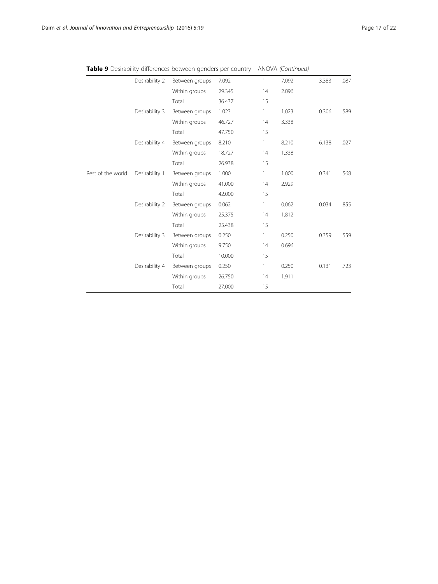|                   | Desirability 2 | Between groups | 7.092  | $\mathbf{1}$ | 7.092 | 3.383 | .087 |
|-------------------|----------------|----------------|--------|--------------|-------|-------|------|
|                   |                | Within groups  | 29.345 | 14           | 2.096 |       |      |
|                   |                | Total          | 36.437 | 15           |       |       |      |
|                   | Desirability 3 | Between groups | 1.023  | 1            | 1.023 | 0.306 | .589 |
|                   |                | Within groups  | 46.727 | 14           | 3.338 |       |      |
|                   |                | Total          | 47.750 | 15           |       |       |      |
|                   | Desirability 4 | Between groups | 8.210  | 1            | 8.210 | 6.138 | .027 |
|                   |                | Within groups  | 18.727 | 14           | 1.338 |       |      |
|                   |                | Total          | 26.938 | 15           |       |       |      |
| Rest of the world | Desirability 1 | Between groups | 1.000  | 1            | 1.000 | 0.341 | .568 |
|                   |                | Within groups  | 41.000 | 14           | 2.929 |       |      |
|                   |                | Total          | 42.000 | 15           |       |       |      |
|                   | Desirability 2 | Between groups | 0.062  | 1            | 0.062 | 0.034 | .855 |
|                   |                | Within groups  | 25.375 | 14           | 1.812 |       |      |
|                   |                | Total          | 25.438 | 15           |       |       |      |
|                   | Desirability 3 | Between groups | 0.250  | 1            | 0.250 | 0.359 | .559 |
|                   |                | Within groups  | 9.750  | 14           | 0.696 |       |      |
|                   |                | Total          | 10.000 | 15           |       |       |      |
|                   | Desirability 4 | Between groups | 0.250  | 1            | 0.250 | 0.131 | .723 |
|                   |                | Within groups  | 26.750 | 14           | 1.911 |       |      |
|                   |                | Total          | 27.000 | 15           |       |       |      |

Table 9 Desirability differences between genders per country—ANOVA (Continued)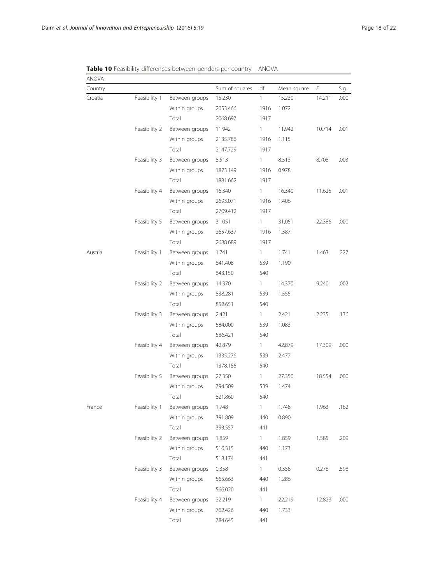| ANOVA   |               |                |                |              |             |        |      |
|---------|---------------|----------------|----------------|--------------|-------------|--------|------|
| Country |               |                | Sum of squares | df           | Mean square | F      | Sig. |
| Croatia | Feasibility 1 | Between groups | 15.230         | 1            | 15.230      | 14.211 | .000 |
|         |               | Within groups  | 2053.466       | 1916         | 1.072       |        |      |
|         |               | Total          | 2068.697       | 1917         |             |        |      |
|         | Feasibility 2 | Between groups | 11.942         | 1            | 11.942      | 10.714 | .001 |
|         |               | Within groups  | 2135.786       | 1916         | 1.115       |        |      |
|         |               | Total          | 2147.729       | 1917         |             |        |      |
|         | Feasibility 3 | Between groups | 8.513          | 1            | 8.513       | 8.708  | .003 |
|         |               | Within groups  | 1873.149       | 1916         | 0.978       |        |      |
|         |               | Total          | 1881.662       | 1917         |             |        |      |
|         | Feasibility 4 | Between groups | 16.340         | 1            | 16.340      | 11.625 | .001 |
|         |               | Within groups  | 2693.071       | 1916         | 1.406       |        |      |
|         |               | Total          | 2709.412       | 1917         |             |        |      |
|         | Feasibility 5 | Between groups | 31.051         | 1            | 31.051      | 22.386 | .000 |
|         |               | Within groups  | 2657.637       | 1916         | 1.387       |        |      |
|         |               | Total          | 2688.689       | 1917         |             |        |      |
| Austria | Feasibility 1 | Between groups | 1.741          | 1            | 1.741       | 1.463  | .227 |
|         |               | Within groups  | 641.408        | 539          | 1.190       |        |      |
|         |               | Total          | 643.150        | 540          |             |        |      |
|         | Feasibility 2 | Between groups | 14.370         | 1            | 14.370      | 9.240  | .002 |
|         |               | Within groups  | 838.281        | 539          | 1.555       |        |      |
|         |               | Total          | 852.651        | 540          |             |        |      |
|         | Feasibility 3 | Between groups | 2.421          | 1            | 2.421       | 2.235  | .136 |
|         |               | Within groups  | 584.000        | 539          | 1.083       |        |      |
|         |               | Total          | 586.421        | 540          |             |        |      |
|         | Feasibility 4 | Between groups | 42.879         | 1            | 42.879      | 17.309 | .000 |
|         |               | Within groups  | 1335.276       | 539          | 2.477       |        |      |
|         |               | Total          | 1378.155       | 540          |             |        |      |
|         | Feasibility 5 | Between groups | 27.350         | 1            | 27.350      | 18.554 | .000 |
|         |               | Within groups  | 794.509        | 539          | 1.474       |        |      |
|         |               | Total          | 821.860        | 540          |             |        |      |
| France  | Feasibility 1 | Between groups | 1.748          | $\mathbf{1}$ | 1.748       | 1.963  | .162 |
|         |               | Within groups  | 391.809        | 440          | 0.890       |        |      |
|         |               | Total          | 393.557        | 441          |             |        |      |
|         | Feasibility 2 | Between groups | 1.859          | 1            | 1.859       | 1.585  | .209 |
|         |               | Within groups  | 516.315        | 440          | 1.173       |        |      |
|         |               | Total          | 518.174        | 441          |             |        |      |
|         | Feasibility 3 | Between groups | 0.358          | 1            | 0.358       | 0.278  | .598 |
|         |               | Within groups  | 565.663        | 440          | 1.286       |        |      |
|         |               | Total          | 566.020        | 441          |             |        |      |
|         | Feasibility 4 | Between groups | 22.219         | 1            | 22.219      | 12.823 | .000 |
|         |               | Within groups  | 762.426        | 440          | 1.733       |        |      |
|         |               | Total          | 784.645        | 441          |             |        |      |

Table 10 Feasibility differences between genders per country-ANOVA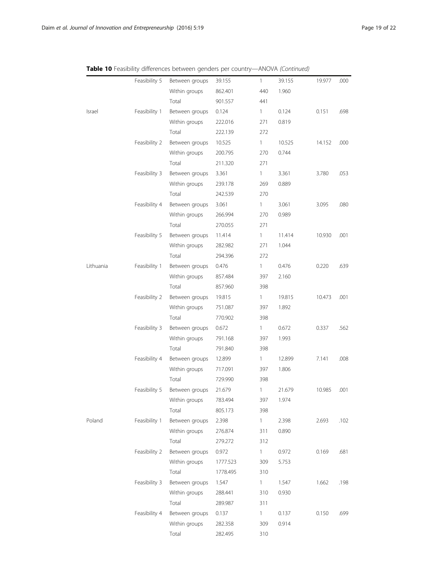|           | Feasibility 5 | Between groups | 39.155   | 1   | 39.155 | 19.977 | .000 |
|-----------|---------------|----------------|----------|-----|--------|--------|------|
|           |               | Within groups  | 862.401  | 440 | 1.960  |        |      |
|           |               | Total          | 901.557  | 441 |        |        |      |
| Israel    | Feasibility 1 | Between groups | 0.124    | 1   | 0.124  | 0.151  | .698 |
|           |               | Within groups  | 222.016  | 271 | 0.819  |        |      |
|           |               | Total          | 222.139  | 272 |        |        |      |
|           | Feasibility 2 | Between groups | 10.525   | 1   | 10.525 | 14.152 | .000 |
|           |               | Within groups  | 200.795  | 270 | 0.744  |        |      |
|           |               | Total          | 211.320  | 271 |        |        |      |
|           | Feasibility 3 | Between groups | 3.361    | 1   | 3.361  | 3.780  | .053 |
|           |               | Within groups  | 239.178  | 269 | 0.889  |        |      |
|           |               | Total          | 242.539  | 270 |        |        |      |
|           | Feasibility 4 |                |          |     |        |        |      |
|           |               | Between groups | 3.061    | 1   | 3.061  | 3.095  | .080 |
|           |               | Within groups  | 266.994  | 270 | 0.989  |        |      |
|           |               | Total          | 270.055  | 271 |        |        |      |
|           | Feasibility 5 | Between groups | 11.414   | 1   | 11.414 | 10.930 | .001 |
|           |               | Within groups  | 282.982  | 271 | 1.044  |        |      |
|           |               | Total          | 294.396  | 272 |        |        |      |
| Lithuania | Feasibility 1 | Between groups | 0.476    | 1   | 0.476  | 0.220  | .639 |
|           |               | Within groups  | 857.484  | 397 | 2.160  |        |      |
|           |               | Total          | 857.960  | 398 |        |        |      |
|           | Feasibility 2 | Between groups | 19.815   | 1   | 19.815 | 10.473 | .001 |
|           |               | Within groups  | 751.087  | 397 | 1.892  |        |      |
|           |               | Total          | 770.902  | 398 |        |        |      |
|           | Feasibility 3 | Between groups | 0.672    | 1   | 0.672  | 0.337  | .562 |
|           |               | Within groups  | 791.168  | 397 | 1.993  |        |      |
|           |               | Total          | 791.840  | 398 |        |        |      |
|           | Feasibility 4 | Between groups | 12.899   | 1   | 12.899 | 7.141  | .008 |
|           |               | Within groups  | 717.091  | 397 | 1.806  |        |      |
|           |               | Total          | 729.990  | 398 |        |        |      |
|           | Feasibility 5 | Between groups | 21.679   | 1   | 21.679 | 10.985 | .001 |
|           |               | Within groups  | 783.494  | 397 | 1.974  |        |      |
|           |               | Total          | 805.173  | 398 |        |        |      |
| Poland    | Feasibility 1 | Between groups | 2.398    | 1   | 2.398  | 2.693  | .102 |
|           |               | Within groups  | 276.874  | 311 | 0.890  |        |      |
|           |               | Total          | 279.272  | 312 |        |        |      |
|           | Feasibility 2 | Between groups | 0.972    | 1   | 0.972  | 0.169  | .681 |
|           |               | Within groups  | 1777.523 | 309 | 5.753  |        |      |
|           |               | Total          | 1778.495 | 310 |        |        |      |
|           | Feasibility 3 | Between groups | 1.547    | 1   | 1.547  | 1.662  | .198 |
|           |               | Within groups  | 288.441  | 310 | 0.930  |        |      |
|           |               | Total          | 289.987  | 311 |        |        |      |
|           | Feasibility 4 | Between groups | 0.137    | 1   | 0.137  | 0.150  | .699 |
|           |               | Within groups  | 282.358  | 309 | 0.914  |        |      |
|           |               | Total          | 282.495  | 310 |        |        |      |

Table 10 Feasibility differences between genders per country-ANOVA (Continued)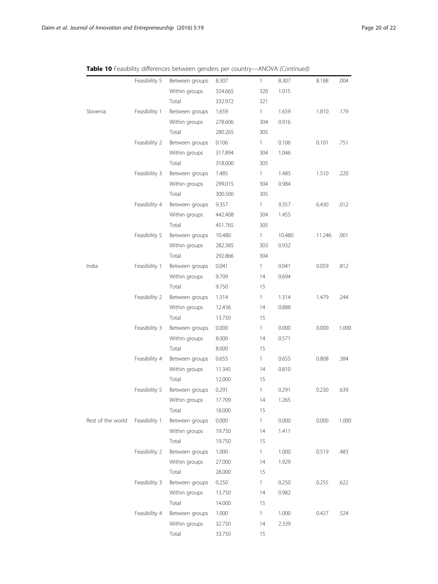|                   | Feasibility 5 | Between groups | 8.307   | 1            | 8.307  | 8.188  | .004  |
|-------------------|---------------|----------------|---------|--------------|--------|--------|-------|
|                   |               | Within groups  | 324.665 | 320          | 1.015  |        |       |
|                   |               | Total          | 332.972 | 321          |        |        |       |
| Slovenia          | Feasibility 1 | Between groups | 1.659   | 1            | 1.659  | 1.810  | .179  |
|                   |               | Within groups  | 278.606 | 304          | 0.916  |        |       |
|                   |               | Total          | 280.265 | 305          |        |        |       |
|                   | Feasibility 2 | Between groups | 0.106   | 1            | 0.106  | 0.101  | .751  |
|                   |               | Within groups  | 317.894 | 304          | 1.046  |        |       |
|                   |               | Total          | 318.000 | 305          |        |        |       |
|                   | Feasibility 3 | Between groups | 1.485   | 1            | 1.485  | 1.510  | .220  |
|                   |               | Within groups  | 299.015 | 304          | 0.984  |        |       |
|                   |               | Total          | 300.500 | 305          |        |        |       |
|                   | Feasibility 4 | Between groups | 9.357   | 1            | 9.357  | 6.430  | .012  |
|                   |               | Within groups  | 442.408 | 304          | 1.455  |        |       |
|                   |               | Total          | 451.765 | 305          |        |        |       |
|                   | Feasibility 5 | Between groups | 10.480  | 1            | 10.480 | 11.246 | .001  |
|                   |               | Within groups  | 282.385 | 303          | 0.932  |        |       |
|                   |               | Total          | 292.866 | 304          |        |        |       |
| India             | Feasibility 1 | Between groups | 0.041   | 1            | 0.041  | 0.059  | .812  |
|                   |               | Within groups  | 9.709   | 14           | 0.694  |        |       |
|                   |               | Total          | 9.750   | 15           |        |        |       |
|                   | Feasibility 2 | Between groups | 1.314   | 1            | 1.314  | 1.479  | .244  |
|                   |               | Within groups  | 12.436  | 14           | 0.888  |        |       |
|                   |               | Total          | 13.750  | 15           |        |        |       |
|                   | Feasibility 3 | Between groups | 0.000   | 1            | 0.000  | 0.000  | 1.000 |
|                   |               | Within groups  | 8.000   | 14           | 0.571  |        |       |
|                   |               | Total          | 8.000   | 15           |        |        |       |
|                   | Feasibility 4 | Between groups | 0.655   | 1            | 0.655  | 0.808  | .384  |
|                   |               | Within groups  | 11.345  | 14           | 0.810  |        |       |
|                   |               | Total          | 12.000  | 15           |        |        |       |
|                   | Feasibility 5 | Between groups | 0.291   | 1            | 0.291  | 0.230  | .639  |
|                   |               | Within groups  | 17.709  | 14           | 1.265  |        |       |
|                   |               | Total          | 18.000  | 15           |        |        |       |
| Rest of the world | Feasibility 1 | Between groups | 0.000   | $\mathbf{1}$ | 0.000  | 0.000  | 1.000 |
|                   |               | Within groups  | 19.750  | 14           | 1.411  |        |       |
|                   |               | Total          | 19.750  | 15           |        |        |       |
|                   | Feasibility 2 | Between groups | 1.000   | 1            | 1.000  | 0.519  | .483  |
|                   |               | Within groups  | 27.000  | 14           | 1.929  |        |       |
|                   |               | Total          | 28.000  | 15           |        |        |       |
|                   | Feasibility 3 | Between groups | 0.250   | 1            | 0.250  | 0.255  | .622  |
|                   |               | Within groups  | 13.750  | 14           |        |        |       |
|                   |               | Total          |         |              | 0.982  |        |       |
|                   |               |                | 14.000  | 15           |        |        |       |
|                   | Feasibility 4 | Between groups | 1.000   | 1            | 1.000  | 0.427  | .524  |
|                   |               | Within groups  | 32.750  | 14           | 2.339  |        |       |
|                   |               | Total          | 33.750  | 15           |        |        |       |

Table 10 Feasibility differences between genders per country-ANOVA (Continued)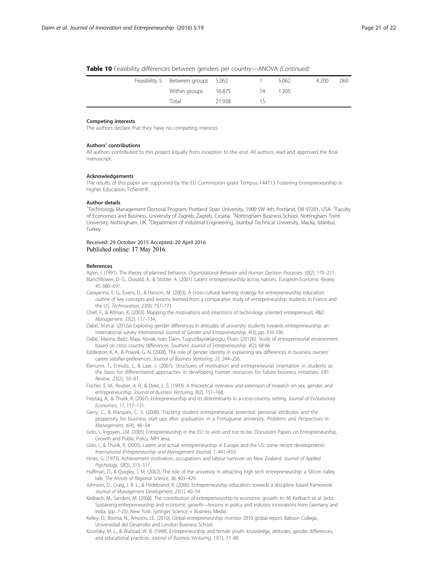<span id="page-20-0"></span>

| <b>Table 10</b> Feasibility differences between genders per country—ANOVA (Continued) |  |  |  |
|---------------------------------------------------------------------------------------|--|--|--|
|---------------------------------------------------------------------------------------|--|--|--|

|  | Feasibility 5 Between groups 5.062 |        |    | 5.062 | 4.200 | .060 |
|--|------------------------------------|--------|----|-------|-------|------|
|  | Within groups 16.875               |        | 14 | 1.205 |       |      |
|  | Total                              | 21.938 |    |       |       |      |

#### Competing interests

The authors declare that they have no competing interests

#### Authors' contributions

All authors contributed to this project equally from inception to the end. All authors read and approved the final manuscript.

#### Acknowledgements

The results of this paper are supported by the EU Commission grant Tempus 144713 Fostering Entrepreneurship in Higher Education, FoSentHE.

#### Author details

<sup>1</sup>Technology Management Doctoral Program, Portland State University, 1900 SW 4th, Portland, OR 97201, USA. <sup>2</sup>Faculty of Economics and Business, University of Zagreb, Zagreb, Croatia. <sup>3</sup>Nottingham Business School, Nottingham Trent University, Nottingham, UK. <sup>4</sup>Department of Industrial Engineering, Istanbul Technical University, Macka, Istanbul, Turkey.

#### Received: 29 October 2015 Accepted: 20 April 2016 Published online: 17 May 2016

#### References

Ajzen, I. (1991). The theory of planned behavior. Organizational Behavior and Human Decision Processes, 50(2), 179–211. Blanchflower, D. G., Oswald, A., & Stutzer, A. (2001). Latent entrepreneurship across nations. European Economic Review, 45, 680–691.

- Carayannis, E. G., Evans, D., & Hanson, M. (2003). A cross-cultural learning strategy for entrepreneurship education: outline of key concepts and lessons learned from a comparative study of entrepreneurship students in France and the US. Technovation, 23(9), 757–771.
- Chell, E., & Allman, K. (2003). Mapping the motivations and intentions of technology oriented entrepreneurs. R&D Management, 33(2), 117–134.
- Dabić, M.et.al. (2012a) Exploring gender differences in attitudes of university students towards entrepreneurship: an international survey International Journal of Gender and Entrepreneurship, 4(3), pp. 316-336.
- Dabić, Marina; Bašić, Maja; Novak, Ivan; Daim, Tugrul;Bayraktaroglu, Elvan. (2012b). Study of entrepreneurial environment based on cross country differences. Southern Journal of Entrepreneurship. 4(2); 68-86

Eddleston, K. A., & Powell, G. N. (2008). The role of gender identity in explaining sex differences in business owners' career satisfier preferences. Journal of Business Venturing, 23, 244–256.

Elenurm, T., Ennulo, J., & Laar, J. (2007). Structures of motivation and entrepreneurial orientation in students as the basis for differentiated approaches in developing human resources for future business initiatives. EBS Review, 23(2), 50–61.

Fischer, E. M., Reuber, A. R., & Dyke, L. S. (1993). A theoretical overview and extension of research on sex, gender, and entrepreneurship. Journal of Business Venturing, 8(2), 151–168.

Freytag, A., & Thurik, R. (2007). Entrepreneurship and its determinants in a cross-country setting. Journal of Evolutionary Economics, 17, 117–131.

- Gerry, C., & Marques, C. S. (2008). Tracking student entrepreneurial potential: personal attributes and the propensity for business start-ups after graduation in a Portuguese university. Problems and Perspectives in Management, 6(4), 46–54.
- Grilo, I., Irigoyen, J.M. (2005) Entrepreneurship in the EU: to wish and not to be. Discussion Papers on Entrepreneurship, Growth and Public Policy, MPI Jena.
- Grilo, I., & Thurik, R. (2005). Latent and actual entrepreneurship in Europe and the US: some recent developments. International Entrepreneurship and Management Journal, 1, 441–459.
- Hines, G. (1973). Achievement motivation, occupations and labour turnover on New Zealand. Journal of Applied Psychology, 58(3), 313–317.
- Huffman, D., & Quigley, J. M. (2002). The role of the university in attracting high tech entrepreneurship: a Silicon Valley tale. The Annals of Regional Science, 36, 403–429.
- Johnson, D., Craig, J. B. L., & Hildebrand, R. (2006). Entrepreneurship education: towards a discipline based framework. Journal of Management Development, 25(1), 40–54.
- Keilbach, M., Sanders, M. (2008). The contribution of entrepreneurship to economic growth. In: M. Keilbach et al. (eds). Sustaining entrepreneurship and economic growth—lessons in policy and industry innovations from Germany and India. (pp. 7-25). New York: Springer Science + Business Media.
- Kelley, D., Bosma, N., Amoros, J.E. (2010). Global entrepreneurship monitor 2010 global report. Babson College, Universidad del Desarrollo and London Business School.
- Kourilsky, M. L., & Walstad, W. B. (1998). Entrepreneurship and female youth: knowledge, attitudes, gender differences, and educational practices. Journal of Business Venturing, 13(1), 77–88.